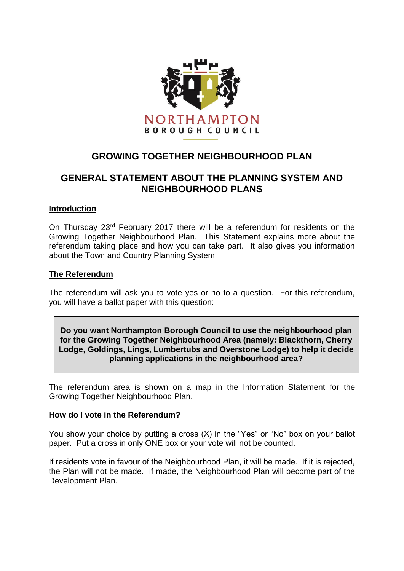

# **GROWING TOGETHER NEIGHBOURHOOD PLAN**

# **GENERAL STATEMENT ABOUT THE PLANNING SYSTEM AND NEIGHBOURHOOD PLANS**

### **Introduction**

On Thursday 23rd February 2017 there will be a referendum for residents on the Growing Together Neighbourhood Plan. This Statement explains more about the referendum taking place and how you can take part. It also gives you information about the Town and Country Planning System

### **The Referendum**

The referendum will ask you to vote yes or no to a question. For this referendum, you will have a ballot paper with this question:

**Do you want Northampton Borough Council to use the neighbourhood plan for the Growing Together Neighbourhood Area (namely: Blackthorn, Cherry Lodge, Goldings, Lings, Lumbertubs and Overstone Lodge) to help it decide planning applications in the neighbourhood area?**

The referendum area is shown on a map in the Information Statement for the Growing Together Neighbourhood Plan.

## **How do I vote in the Referendum?**

You show your choice by putting a cross (X) in the "Yes" or "No" box on your ballot paper. Put a cross in only ONE box or your vote will not be counted.

If residents vote in favour of the Neighbourhood Plan, it will be made. If it is rejected, the Plan will not be made. If made, the Neighbourhood Plan will become part of the Development Plan.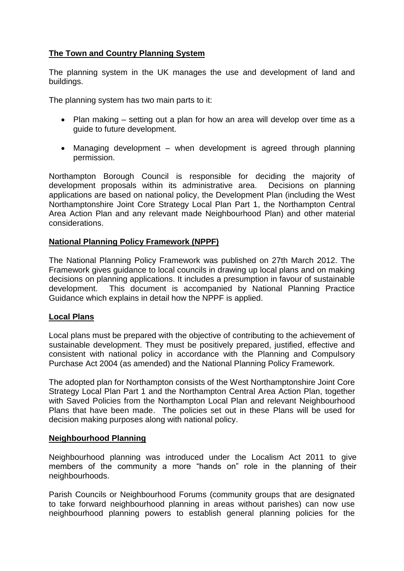## **The Town and Country Planning System**

The planning system in the UK manages the use and development of land and buildings.

The planning system has two main parts to it:

- Plan making setting out a plan for how an area will develop over time as a guide to future development.
- Managing development when development is agreed through planning permission.

Northampton Borough Council is responsible for deciding the majority of development proposals within its administrative area. Decisions on planning applications are based on national policy, the Development Plan (including the West Northamptonshire Joint Core Strategy Local Plan Part 1, the Northampton Central Area Action Plan and any relevant made Neighbourhood Plan) and other material considerations.

## **National Planning Policy Framework (NPPF)**

The National Planning Policy Framework was published on 27th March 2012. The Framework gives guidance to local councils in drawing up local plans and on making decisions on planning applications. It includes a presumption in favour of sustainable development. This document is accompanied by National Planning Practice Guidance which explains in detail how the NPPF is applied.

## **Local Plans**

Local plans must be prepared with the objective of contributing to the achievement of sustainable development. They must be positively prepared, justified, effective and consistent with national policy in accordance with the Planning and Compulsory Purchase Act 2004 (as amended) and the National Planning Policy Framework.

The adopted plan for Northampton consists of the West Northamptonshire Joint Core Strategy Local Plan Part 1 and the Northampton Central Area Action Plan, together with Saved Policies from the Northampton Local Plan and relevant Neighbourhood Plans that have been made. The policies set out in these Plans will be used for decision making purposes along with national policy.

## **Neighbourhood Planning**

Neighbourhood planning was introduced under the Localism Act 2011 to give members of the community a more "hands on" role in the planning of their neighbourhoods.

Parish Councils or Neighbourhood Forums (community groups that are designated to take forward neighbourhood planning in areas without parishes) can now use neighbourhood planning powers to establish general planning policies for the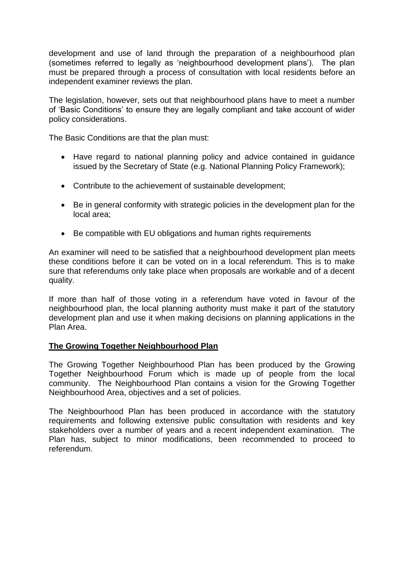development and use of land through the preparation of a neighbourhood plan (sometimes referred to legally as 'neighbourhood development plans'). The plan must be prepared through a process of consultation with local residents before an independent examiner reviews the plan.

The legislation, however, sets out that neighbourhood plans have to meet a number of 'Basic Conditions' to ensure they are legally compliant and take account of wider policy considerations.

The Basic Conditions are that the plan must:

- Have regard to national planning policy and advice contained in guidance issued by the Secretary of State (e.g. National Planning Policy Framework);
- Contribute to the achievement of sustainable development;
- Be in general conformity with strategic policies in the development plan for the local area;
- Be compatible with EU obligations and human rights requirements

An examiner will need to be satisfied that a neighbourhood development plan meets these conditions before it can be voted on in a local referendum. This is to make sure that referendums only take place when proposals are workable and of a decent quality.

If more than half of those voting in a referendum have voted in favour of the neighbourhood plan, the local planning authority must make it part of the statutory development plan and use it when making decisions on planning applications in the Plan Area.

## **The Growing Together Neighbourhood Plan**

The Growing Together Neighbourhood Plan has been produced by the Growing Together Neighbourhood Forum which is made up of people from the local community. The Neighbourhood Plan contains a vision for the Growing Together Neighbourhood Area, objectives and a set of policies.

The Neighbourhood Plan has been produced in accordance with the statutory requirements and following extensive public consultation with residents and key stakeholders over a number of years and a recent independent examination. The Plan has, subject to minor modifications, been recommended to proceed to referendum.